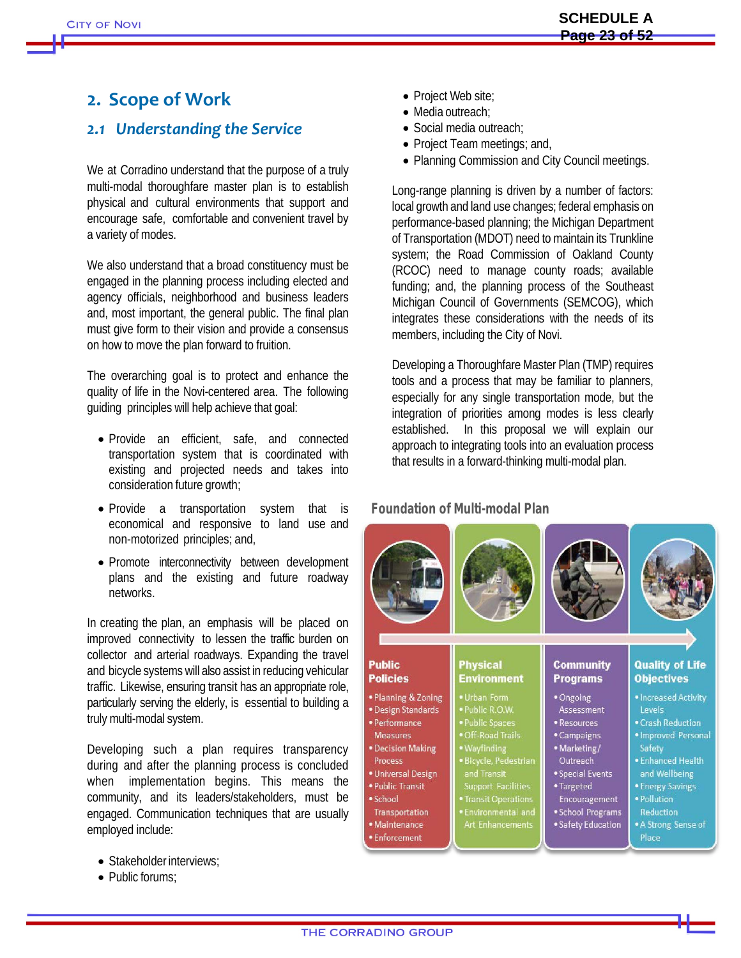## **2. Scope of Work**

## *2.1 Understanding the Service*

We at Corradino understand that the purpose of a truly multi-modal thoroughfare master plan is to establish physical and cultural environments that support and encourage safe, comfortable and convenient travel by a variety of modes.

We also understand that a broad constituency must be engaged in the planning process including elected and agency officials, neighborhood and business leaders and, most important, the general public. The final plan must give form to their vision and provide a consensus on how to move the plan forward to fruition.

The overarching goal is to protect and enhance the quality of life in the Novi-centered area. The following guiding principles will help achieve that goal:

- Provide an efficient, safe, and connected transportation system that is coordinated with existing and projected needs and takes into consideration future growth;
- Provide a transportation system that is economical and responsive to land use and non-motorized principles; and,
- Promote interconnectivity between development plans and the existing and future roadway networks.

In creating the plan, an emphasis will be placed on improved connectivity to lessen the traffic burden on collector and arterial roadways. Expanding the travel and bicycle systems will also assist in reducing vehicular traffic. Likewise, ensuring transit has an appropriate role, particularly serving the elderly, is essential to building a truly multi-modal system.

Developing such a plan requires transparency during and after the planning process is concluded when implementation begins. This means the community, and its leaders/stakeholders, must be engaged. Communication techniques that are usually employed include:

- Stakeholder interviews:
- Public forums:
- Project Web site;
- Media outreach:
- Social media outreach:
- Project Team meetings; and,
- Planning Commission and City Council meetings.

Long-range planning is driven by a number of factors: local growth and land use changes; federal emphasis on performance-based planning; the Michigan Department of Transportation (MDOT) need to maintain its Trunkline system; the Road Commission of Oakland County (RCOC) need to manage county roads; available funding; and, the planning process of the Southeast Michigan Council of Governments (SEMCOG), which integrates these considerations with the needs of its members, including the City of Novi.

Developing a Thoroughfare Master Plan (TMP) requires tools and a process that may be familiar to planners, especially for any single transportation mode, but the integration of priorities among modes is less clearly established. In this proposal we will explain our approach to integrating tools into an evaluation process that results in a forward-thinking multi-modal plan.

## **Foundation of Multi-modal Plan**